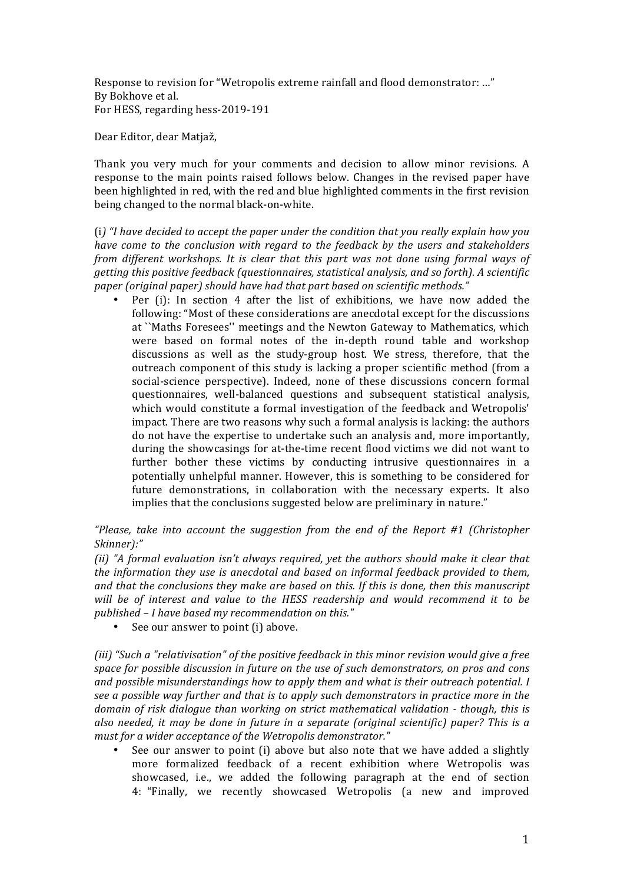Response to revision for "Wetropolis extreme rainfall and flood demonstrator: ..." By Bokhove et al. For HESS, regarding hess-2019-191

Dear Editor, dear Matjaž,

Thank you very much for your comments and decision to allow minor revisions. A response to the main points raised follows below. Changes in the revised paper have been highlighted in red, with the red and blue highlighted comments in the first revision being changed to the normal black-on-white.

(i) "I have decided to accept the paper under the condition that you really explain how you *have come to the conclusion with regard to the feedback by the users and stakeholders from different workshops. It is clear that this part was not done using formal ways of getting this positive feedback (questionnaires, statistical analysis, and so forth). A scientific* paper (original paper) should have had that part based on scientific methods."

Per  $(i)$ : In section 4 after the list of exhibitions, we have now added the following: "Most of these considerations are anecdotal except for the discussions at ``Maths Foresees'' meetings and the Newton Gateway to Mathematics, which were based on formal notes of the in-depth round table and workshop discussions as well as the study-group host. We stress, therefore, that the outreach component of this study is lacking a proper scientific method (from a social-science perspective). Indeed, none of these discussions concern formal questionnaires, well-balanced questions and subsequent statistical analysis, which would constitute a formal investigation of the feedback and Wetropolis' impact. There are two reasons why such a formal analysis is lacking: the authors do not have the expertise to undertake such an analysis and, more importantly, during the showcasings for at-the-time recent flood victims we did not want to further bother these victims by conducting intrusive questionnaires in a potentially unhelpful manner. However, this is something to be considered for future demonstrations, in collaboration with the necessary experts. It also implies that the conclusions suggested below are preliminary in nature."

*"Please, take into account the suggestion from the end of the Report #1 (Christopher*) *Skinner):"*

*(ii)* "A formal evaluation isn't always required, vet the authors should make it clear that *the information they use is anecdotal and based on informal feedback provided to them,* and that the conclusions they make are based on this. If this is done, then this manuscript *will* be of interest and value to the HESS readership and would recommend it to be published – *I* have based my recommendation on this."

See our answer to point (i) above.

(iii) "Such a "relativisation" of the positive feedback in this minor revision would give a free space for possible discussion in future on the use of such demonstrators, on pros and cons *and possible misunderstandings how to apply them and what is their outreach potential. I* see a possible way further and that is to apply such demonstrators in practice more in the *domain of risk dialogue than working on strict mathematical validation - though, this is* also needed, it may be done in future in a separate (original scientific) paper? This is a must for a wider acceptance of the Wetropolis demonstrator."

See our answer to point  $(i)$  above but also note that we have added a slightly more formalized feedback of a recent exhibition where Wetropolis was showcased, i.e., we added the following paragraph at the end of section 4: "Finally, we recently showcased Wetropolis (a new and improved